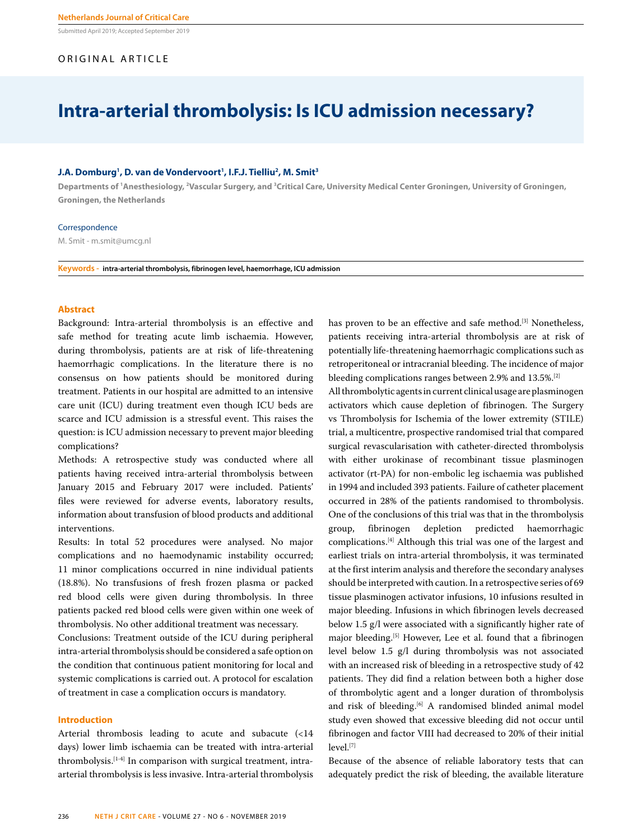Submitted April 2019; Accepted September 2019

## ORIGINAL ARTICLE

# **Intra-arterial thrombolysis: Is ICU admission necessary?**

## **J.A. Domburg<sup>1</sup>, D. van de Vondervoort<sup>1</sup>, I.F.J. Tielliu<sup>2</sup>, M. Smit<sup>3</sup>**

Departments of <sup>1</sup>Anesthesiology, <sup>2</sup>Vascular Surgery, and <sup>3</sup>Critical Care, University Medical Center Groningen, University of Groningen, **Groningen, the Netherlands**

#### Correspondence

M. Smit - m.smit@umcg.nl

**Keywords - intra-arterial thrombolysis, fibrinogen level, haemorrhage, ICU admission**

## **Abstract**

Background: Intra-arterial thrombolysis is an effective and safe method for treating acute limb ischaemia. However, during thrombolysis, patients are at risk of life-threatening haemorrhagic complications. In the literature there is no consensus on how patients should be monitored during treatment. Patients in our hospital are admitted to an intensive care unit (ICU) during treatment even though ICU beds are scarce and ICU admission is a stressful event. This raises the question: is ICU admission necessary to prevent major bleeding complications?

Methods: A retrospective study was conducted where all patients having received intra-arterial thrombolysis between January 2015 and February 2017 were included. Patients' files were reviewed for adverse events, laboratory results, information about transfusion of blood products and additional interventions.

Results: In total 52 procedures were analysed. No major complications and no haemodynamic instability occurred; 11 minor complications occurred in nine individual patients (18.8%). No transfusions of fresh frozen plasma or packed red blood cells were given during thrombolysis. In three patients packed red blood cells were given within one week of thrombolysis. No other additional treatment was necessary.

Conclusions: Treatment outside of the ICU during peripheral intra-arterial thrombolysis should be considered a safe option on the condition that continuous patient monitoring for local and systemic complications is carried out. A protocol for escalation of treatment in case a complication occurs is mandatory.

## **Introduction**

Arterial thrombosis leading to acute and subacute (<14 days) lower limb ischaemia can be treated with intra-arterial thrombolysis.[1-4] In comparison with surgical treatment, intraarterial thrombolysis is less invasive. Intra-arterial thrombolysis has proven to be an effective and safe method.<sup>[3]</sup> Nonetheless, patients receiving intra-arterial thrombolysis are at risk of potentially life-threatening haemorrhagic complications such as retroperitoneal or intracranial bleeding. The incidence of major bleeding complications ranges between 2.9% and 13.5%.[2]

All thrombolytic agents in current clinical usage are plasminogen activators which cause depletion of fibrinogen. The Surgery vs Thrombolysis for Ischemia of the lower extremity (STILE) trial, a multicentre, prospective randomised trial that compared surgical revascularisation with catheter-directed thrombolysis with either urokinase of recombinant tissue plasminogen activator (rt-PA) for non-embolic leg ischaemia was published in 1994 and included 393 patients. Failure of catheter placement occurred in 28% of the patients randomised to thrombolysis. One of the conclusions of this trial was that in the thrombolysis group, fibrinogen depletion predicted haemorrhagic complications.[4] Although this trial was one of the largest and earliest trials on intra-arterial thrombolysis, it was terminated at the first interim analysis and therefore the secondary analyses should be interpreted with caution. In a retrospective series of 69 tissue plasminogen activator infusions, 10 infusions resulted in major bleeding. Infusions in which fibrinogen levels decreased below 1.5 g/l were associated with a significantly higher rate of major bleeding.<sup>[5]</sup> However, Lee et al. found that a fibrinogen level below 1.5 g/l during thrombolysis was not associated with an increased risk of bleeding in a retrospective study of 42 patients. They did find a relation between both a higher dose of thrombolytic agent and a longer duration of thrombolysis and risk of bleeding.<sup>[6]</sup> A randomised blinded animal model study even showed that excessive bleeding did not occur until fibrinogen and factor VIII had decreased to 20% of their initial level.[7]

Because of the absence of reliable laboratory tests that can adequately predict the risk of bleeding, the available literature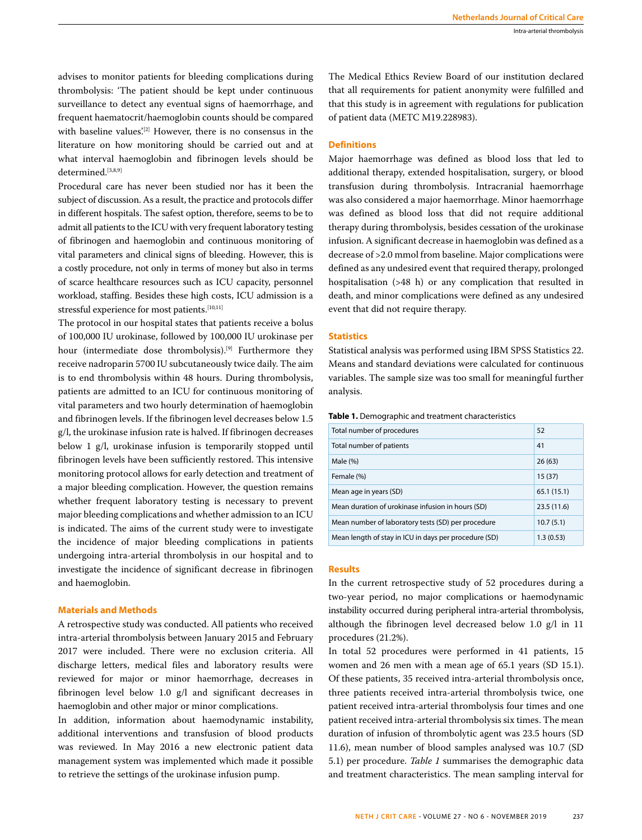advises to monitor patients for bleeding complications during thrombolysis: 'The patient should be kept under continuous surveillance to detect any eventual signs of haemorrhage, and frequent haematocrit/haemoglobin counts should be compared with baseline values.<sup>[2]</sup> However, there is no consensus in the literature on how monitoring should be carried out and at what interval haemoglobin and fibrinogen levels should be determined.<sup>[3,8,9]</sup>

Procedural care has never been studied nor has it been the subject of discussion. As a result, the practice and protocols differ in different hospitals. The safest option, therefore, seems to be to admit all patients to the ICU with very frequent laboratory testing of fibrinogen and haemoglobin and continuous monitoring of vital parameters and clinical signs of bleeding. However, this is a costly procedure, not only in terms of money but also in terms of scarce healthcare resources such as ICU capacity, personnel workload, staffing. Besides these high costs, ICU admission is a stressful experience for most patients.<sup>[10,11]</sup>

The protocol in our hospital states that patients receive a bolus of 100,000 IU urokinase, followed by 100,000 IU urokinase per hour (intermediate dose thrombolysis).<sup>[9]</sup> Furthermore they receive nadroparin 5700 IU subcutaneously twice daily. The aim is to end thrombolysis within 48 hours. During thrombolysis, patients are admitted to an ICU for continuous monitoring of vital parameters and two hourly determination of haemoglobin and fibrinogen levels. If the fibrinogen level decreases below 1.5 g/l, the urokinase infusion rate is halved. If fibrinogen decreases below 1 g/l, urokinase infusion is temporarily stopped until fibrinogen levels have been sufficiently restored. This intensive monitoring protocol allows for early detection and treatment of a major bleeding complication. However, the question remains whether frequent laboratory testing is necessary to prevent major bleeding complications and whether admission to an ICU is indicated. The aims of the current study were to investigate the incidence of major bleeding complications in patients undergoing intra-arterial thrombolysis in our hospital and to investigate the incidence of significant decrease in fibrinogen and haemoglobin.

## **Materials and Methods**

A retrospective study was conducted. All patients who received intra-arterial thrombolysis between January 2015 and February 2017 were included. There were no exclusion criteria. All discharge letters, medical files and laboratory results were reviewed for major or minor haemorrhage, decreases in fibrinogen level below 1.0 g/l and significant decreases in haemoglobin and other major or minor complications.

In addition, information about haemodynamic instability, additional interventions and transfusion of blood products was reviewed. In May 2016 a new electronic patient data management system was implemented which made it possible to retrieve the settings of the urokinase infusion pump.

The Medical Ethics Review Board of our institution declared that all requirements for patient anonymity were fulfilled and that this study is in agreement with regulations for publication of patient data (METC M19.228983).

## **Definitions**

Major haemorrhage was defined as blood loss that led to additional therapy, extended hospitalisation, surgery, or blood transfusion during thrombolysis. Intracranial haemorrhage was also considered a major haemorrhage. Minor haemorrhage was defined as blood loss that did not require additional therapy during thrombolysis, besides cessation of the urokinase infusion. A significant decrease in haemoglobin was defined as a decrease of >2.0 mmol from baseline. Major complications were defined as any undesired event that required therapy, prolonged hospitalisation (>48 h) or any complication that resulted in death, and minor complications were defined as any undesired event that did not require therapy.

## **Statistics**

Statistical analysis was performed using IBM SPSS Statistics 22. Means and standard deviations were calculated for continuous variables. The sample size was too small for meaningful further analysis.

| Total number of procedures                            | 52         |
|-------------------------------------------------------|------------|
| Total number of patients                              | 41         |
| Male $(\%)$                                           | 26(63)     |
| Female (%)                                            | 15(37)     |
| Mean age in years (SD)                                | 65.1(15.1) |
| Mean duration of urokinase infusion in hours (SD)     | 23.5(11.6) |
| Mean number of laboratory tests (SD) per procedure    | 10.7(5.1)  |
| Mean length of stay in ICU in days per procedure (SD) | 1.3(0.53)  |

#### **Table 1.** Demographic and treatment characteristics

## **Results**

In the current retrospective study of 52 procedures during a two-year period, no major complications or haemodynamic instability occurred during peripheral intra-arterial thrombolysis, although the fibrinogen level decreased below 1.0 g/l in 11 procedures (21.2%).

In total 52 procedures were performed in 41 patients, 15 women and 26 men with a mean age of 65.1 years (SD 15.1). Of these patients, 35 received intra-arterial thrombolysis once, three patients received intra-arterial thrombolysis twice, one patient received intra-arterial thrombolysis four times and one patient received intra-arterial thrombolysis six times. The mean duration of infusion of thrombolytic agent was 23.5 hours (SD 11.6), mean number of blood samples analysed was 10.7 (SD 5.1) per procedure. *Table 1* summarises the demographic data and treatment characteristics. The mean sampling interval for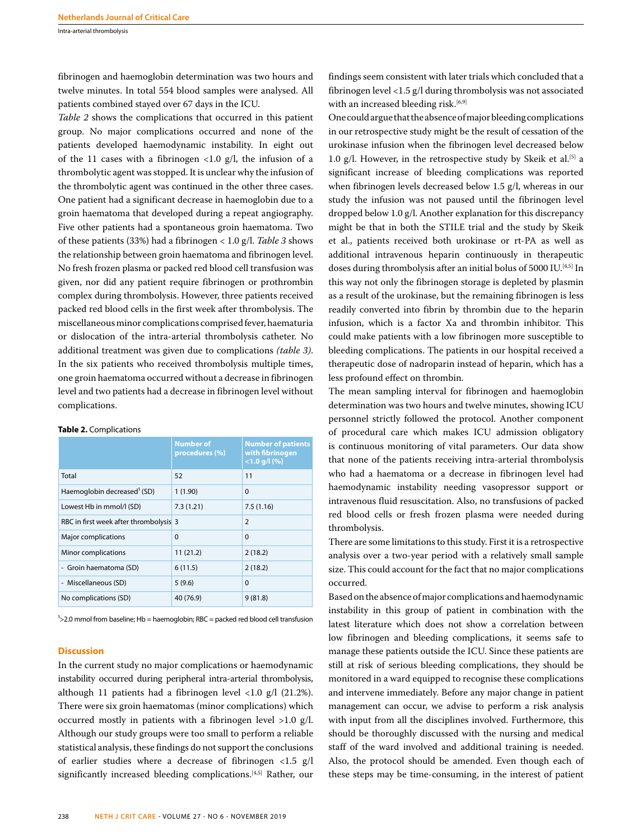Intra-arterial thrombolysis

fibrinogen and haemoglobin determination was two hours and twelve minutes. In total 554 blood samples were analysed. All patients combined stayed over 67 days in the ICU.

*Table 2* shows the complications that occurred in this patient group. No major complications occurred and none of the patients developed haemodynamic instability. In eight out of the 11 cases with a fibrinogen  $\langle 1.0 \rangle$  g/l, the infusion of a thrombolytic agent was stopped. It is unclear why the infusion of the thrombolytic agent was continued in the other three cases. One patient had a significant decrease in haemoglobin due to a groin haematoma that developed during a repeat angiography. Five other patients had a spontaneous groin haematoma. Two of these patients (33%) had a fibrinogen < 1.0 g/l. *Table 3* shows the relationship between groin haematoma and fibrinogen level. No fresh frozen plasma or packed red blood cell transfusion was given, nor did any patient require fibrinogen or prothrombin complex during thrombolysis. However, three patients received packed red blood cells in the first week after thrombolysis. The miscellaneous minor complications comprised fever, haematuria or dislocation of the intra-arterial thrombolysis catheter. No additional treatment was given due to complications *(table 3)*. In the six patients who received thrombolysis multiple times, one groin haematoma occurred without a decrease in fibrinogen level and two patients had a decrease in fibrinogen level without complications.

|                                         | <b>Number of</b><br>procedures (%) | <b>Number of patients</b><br>with fibrinogen<br>$<$ 1.0 g/l (%) |
|-----------------------------------------|------------------------------------|-----------------------------------------------------------------|
| Total                                   | 52                                 | 11                                                              |
| Haemoglobin decreased <sup>1</sup> (SD) | 1(1.90)                            | $\Omega$                                                        |
| Lowest Hb in mmol/l (SD)                | 7.3(1.21)                          | 7.5(1.16)                                                       |
| RBC in first week after thrombolysis 3  |                                    | $\overline{2}$                                                  |
| <b>Major complications</b>              | $\Omega$                           | $\mathbf{0}$                                                    |
| <b>Minor complications</b>              | 11(21.2)                           | 2(18.2)                                                         |
| - Groin haematoma (SD)                  | 6(11.5)                            | 2(18.2)                                                         |
| - Miscellaneous (SD)                    | 5(9.6)                             | $\Omega$                                                        |
| No complications (SD)                   | 40 (76.9)                          | 9(81.8)                                                         |

 $\frac{1}{2}$ 2.0 mmol from baseline; Hb = haemoglobin; RBC = packed red blood cell transfusion

## **Discussion**

**Table 2.** Complications

In the current study no major complications or haemodynamic instability occurred during peripheral intra-arterial thrombolysis, although 11 patients had a fibrinogen level <1.0 g/l (21.2%). There were six groin haematomas (minor complications) which occurred mostly in patients with a fibrinogen level >1.0 g/l. Although our study groups were too small to perform a reliable statistical analysis, these findings do not support the conclusions of earlier studies where a decrease of fibrinogen <1.5 g/l significantly increased bleeding complications.<sup>[4,5]</sup> Rather, our findings seem consistent with later trials which concluded that a fibrinogen level <1.5 g/l during thrombolysis was not associated with an increased bleeding risk.<sup>[6,9]</sup>

One could argue that the absence of major bleeding complications in our retrospective study might be the result of cessation of the urokinase infusion when the fibrinogen level decreased below 1.0 g/l. However, in the retrospective study by Skeik et al.<sup>[5]</sup> a significant increase of bleeding complications was reported when fibrinogen levels decreased below 1.5 g/l, whereas in our study the infusion was not paused until the fibrinogen level dropped below 1.0 g/l. Another explanation for this discrepancy might be that in both the STILE trial and the study by Skeik et al., patients received both urokinase or rt-PA as well as additional intravenous heparin continuously in therapeutic doses during thrombolysis after an initial bolus of 5000 IU.<sup>[4,5]</sup> In this way not only the fibrinogen storage is depleted by plasmin as a result of the urokinase, but the remaining fibrinogen is less readily converted into fibrin by thrombin due to the heparin infusion, which is a factor Xa and thrombin inhibitor. This could make patients with a low fibrinogen more susceptible to bleeding complications. The patients in our hospital received a therapeutic dose of nadroparin instead of heparin, which has a less profound effect on thrombin.

The mean sampling interval for fibrinogen and haemoglobin determination was two hours and twelve minutes, showing ICU personnel strictly followed the protocol. Another component of procedural care which makes ICU admission obligatory is continuous monitoring of vital parameters. Our data show that none of the patients receiving intra-arterial thrombolysis who had a haematoma or a decrease in fibrinogen level had haemodynamic instability needing vasopressor support or intravenous fluid resuscitation. Also, no transfusions of packed red blood cells or fresh frozen plasma were needed during thrombolysis.

There are some limitations to this study. First it is a retrospective analysis over a two-year period with a relatively small sample size. This could account for the fact that no major complications occurred.

Based on the absence of major complications and haemodynamic instability in this group of patient in combination with the latest literature which does not show a correlation between low fibrinogen and bleeding complications, it seems safe to manage these patients outside the ICU. Since these patients are still at risk of serious bleeding complications, they should be monitored in a ward equipped to recognise these complications and intervene immediately. Before any major change in patient management can occur, we advise to perform a risk analysis with input from all the disciplines involved. Furthermore, this should be thoroughly discussed with the nursing and medical staff of the ward involved and additional training is needed. Also, the protocol should be amended. Even though each of these steps may be time-consuming, in the interest of patient